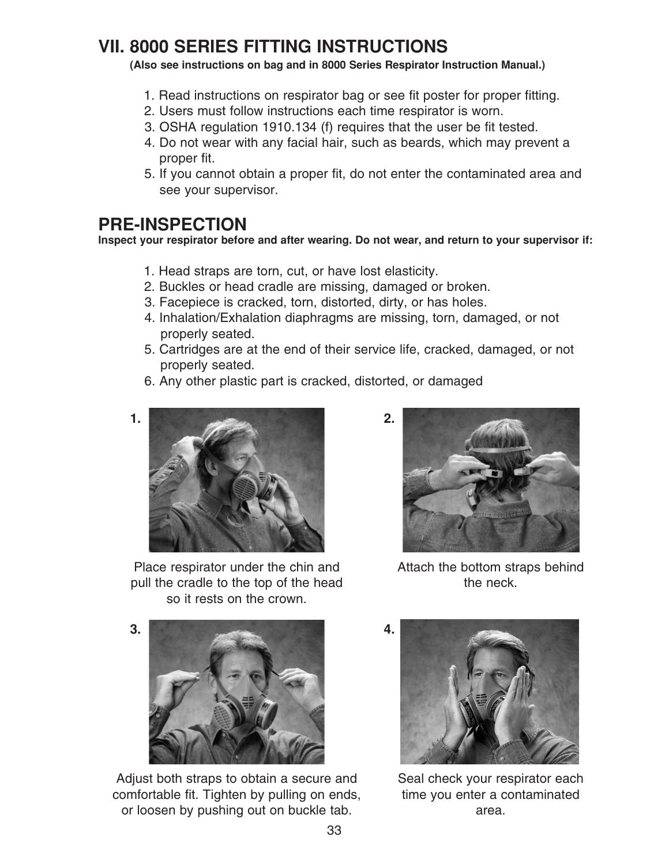# **VII. 8000 SERIES FITTING INSTRUCTIONS**

#### **(Also see instructions on bag and in 8000 Series Respirator Instruction Manual.)**

- 1. Read instructions on respirator bag or see fit poster for proper fitting.
- 2. Users must follow instructions each time respirator is worn.
- 3. OSHA regulation 1910.134 (f) requires that the user be fit tested.
- 4. Do not wear with any facial hair, such as beards, which may prevent a proper fit.
- 5. If you cannot obtain a proper fit, do not enter the contaminated area and see your supervisor.

## **PRE-INSPECTION**

**Inspect your respirator before and after wearing. Do not wear, and return to your supervisor if:**

- 1. Head straps are torn, cut, or have lost elasticity.
- 2. Buckles or head cradle are missing, damaged or broken.
- 3. Facepiece is cracked, torn, distorted, dirty, or has holes.
- 4. Inhalation/Exhalation diaphragms are missing, torn, damaged, or not properly seated.
- 5. Cartridges are at the end of their service life, cracked, damaged, or not properly seated.
- 6. Any other plastic part is cracked, distorted, or damaged



Place respirator under the chin and pull the cradle to the top of the head so it rests on the crown.



Attach the bottom straps behind the neck.



Adjust both straps to obtain a secure and comfortable fit. Tighten by pulling on ends, or loosen by pushing out on buckle tab.



Seal check your respirator each time you enter a contaminated area.